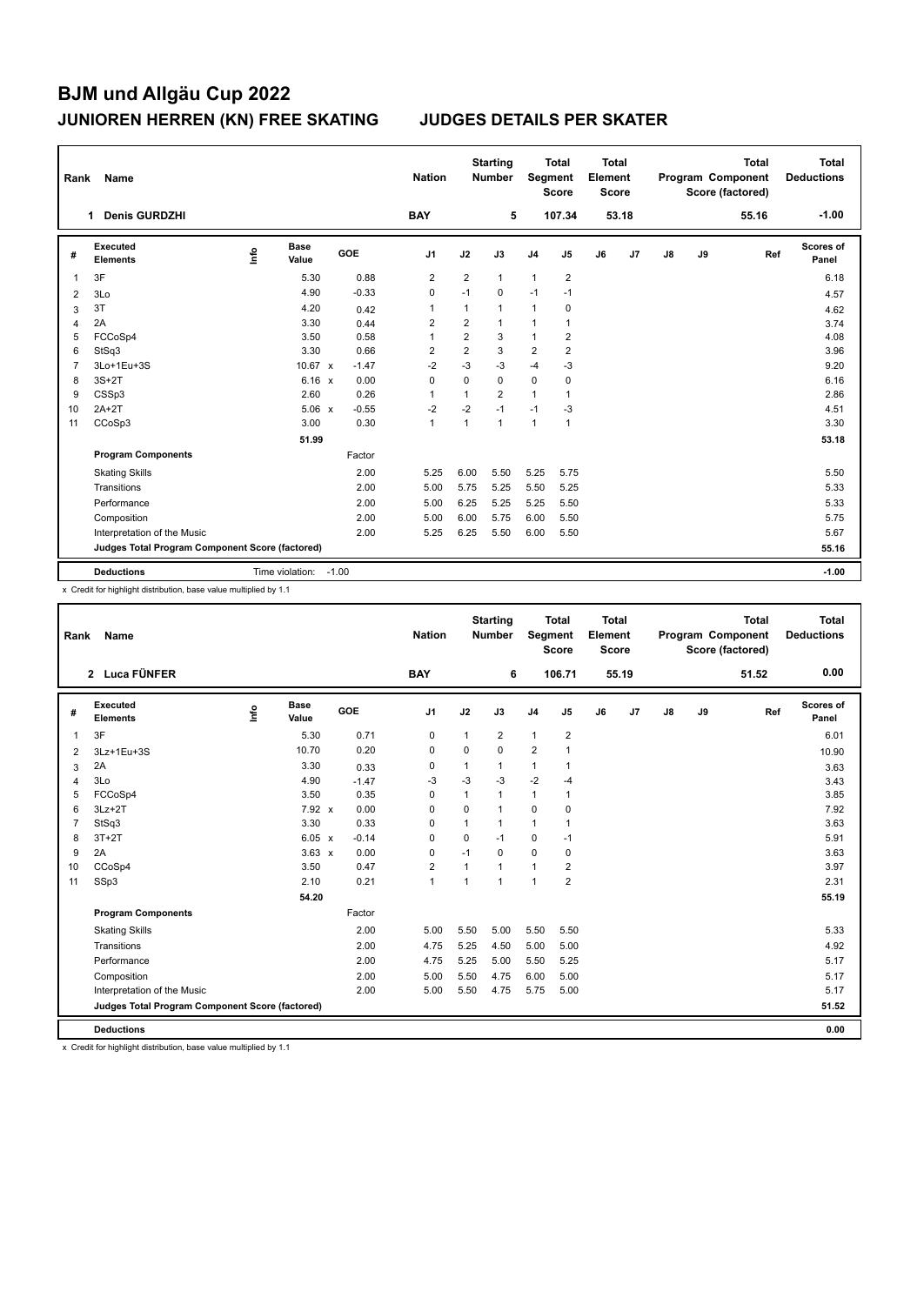| Rank           | Name                                            |                 |                      |         | <b>Nation</b>  |                | <b>Starting</b><br><b>Number</b> | Segment        | <b>Total</b><br><b>Score</b> | <b>Total</b><br>Element<br><b>Score</b> |       |               |    | <b>Total</b><br>Program Component<br>Score (factored) | <b>Total</b><br><b>Deductions</b> |
|----------------|-------------------------------------------------|-----------------|----------------------|---------|----------------|----------------|----------------------------------|----------------|------------------------------|-----------------------------------------|-------|---------------|----|-------------------------------------------------------|-----------------------------------|
|                | <b>Denis GURDZHI</b><br>1.                      |                 |                      |         | <b>BAY</b>     |                | 5                                |                | 107.34                       |                                         | 53.18 |               |    | 55.16                                                 | $-1.00$                           |
| #              | Executed<br><b>Elements</b>                     | ۴ů              | <b>Base</b><br>Value | GOE     | J <sub>1</sub> | J2             | J3                               | J <sub>4</sub> | J <sub>5</sub>               | J6                                      | J7    | $\mathsf{J}8$ | J9 | Ref                                                   | <b>Scores of</b><br>Panel         |
| 1              | 3F                                              |                 | 5.30                 | 0.88    | $\overline{2}$ | $\overline{2}$ | $\mathbf{1}$                     | $\mathbf{1}$   | $\overline{2}$               |                                         |       |               |    |                                                       | 6.18                              |
| $\overline{2}$ | 3Lo                                             |                 | 4.90                 | $-0.33$ | 0              | $-1$           | 0                                | $-1$           | $-1$                         |                                         |       |               |    |                                                       | 4.57                              |
| 3              | 3T                                              |                 | 4.20                 | 0.42    | 1              | 1              | $\mathbf{1}$                     | $\mathbf{1}$   | 0                            |                                         |       |               |    |                                                       | 4.62                              |
| $\overline{4}$ | 2A                                              |                 | 3.30                 | 0.44    | $\overline{2}$ | $\overline{2}$ | $\mathbf{1}$                     | $\mathbf{1}$   | $\mathbf{1}$                 |                                         |       |               |    |                                                       | 3.74                              |
| 5              | FCCoSp4                                         |                 | 3.50                 | 0.58    | 1              | $\overline{2}$ | 3                                | $\mathbf{1}$   | $\overline{2}$               |                                         |       |               |    |                                                       | 4.08                              |
| 6              | StSq3                                           |                 | 3.30                 | 0.66    | 2              | 2              | 3                                | $\overline{c}$ | $\overline{2}$               |                                         |       |               |    |                                                       | 3.96                              |
| 7              | 3Lo+1Eu+3S                                      |                 | 10.67 $\times$       | $-1.47$ | $-2$           | $-3$           | $-3$                             | $-4$           | $-3$                         |                                         |       |               |    |                                                       | 9.20                              |
| 8              | $3S+2T$                                         |                 | $6.16 \times$        | 0.00    | $\mathbf 0$    | 0              | $\mathbf 0$                      | $\mathbf 0$    | $\mathbf 0$                  |                                         |       |               |    |                                                       | 6.16                              |
| 9              | CSSp3                                           |                 | 2.60                 | 0.26    | 1              | 1              | $\overline{2}$                   | $\mathbf{1}$   | 1                            |                                         |       |               |    |                                                       | 2.86                              |
| 10             | $2A+2T$                                         |                 | $5.06 \times$        | $-0.55$ | $-2$           | $-2$           | $-1$                             | $-1$           | -3                           |                                         |       |               |    |                                                       | 4.51                              |
| 11             | CCoSp3                                          |                 | 3.00                 | 0.30    | 1              | 1              | $\mathbf{1}$                     | $\mathbf{1}$   | $\mathbf{1}$                 |                                         |       |               |    |                                                       | 3.30                              |
|                |                                                 |                 | 51.99                |         |                |                |                                  |                |                              |                                         |       |               |    |                                                       | 53.18                             |
|                | <b>Program Components</b>                       |                 |                      | Factor  |                |                |                                  |                |                              |                                         |       |               |    |                                                       |                                   |
|                | <b>Skating Skills</b>                           |                 |                      | 2.00    | 5.25           | 6.00           | 5.50                             | 5.25           | 5.75                         |                                         |       |               |    |                                                       | 5.50                              |
|                | Transitions                                     |                 |                      | 2.00    | 5.00           | 5.75           | 5.25                             | 5.50           | 5.25                         |                                         |       |               |    |                                                       | 5.33                              |
|                | Performance                                     |                 |                      | 2.00    | 5.00           | 6.25           | 5.25                             | 5.25           | 5.50                         |                                         |       |               |    |                                                       | 5.33                              |
|                | Composition                                     |                 |                      | 2.00    | 5.00           | 6.00           | 5.75                             | 6.00           | 5.50                         |                                         |       |               |    |                                                       | 5.75                              |
|                | Interpretation of the Music                     |                 |                      | 2.00    | 5.25           | 6.25           | 5.50                             | 6.00           | 5.50                         |                                         |       |               |    |                                                       | 5.67                              |
|                | Judges Total Program Component Score (factored) |                 |                      |         |                |                |                                  |                |                              |                                         |       |               |    |                                                       | 55.16                             |
|                | <b>Deductions</b>                               | Time violation: |                      | $-1.00$ |                |                |                                  |                |                              |                                         |       |               |    |                                                       | $-1.00$                           |

x Credit for highlight distribution, base value multiplied by 1.1

| Rank           | Name                                            |   |                      |  | <b>Nation</b> |                | <b>Starting</b><br><b>Number</b> |                | <b>Total</b><br><b>Total</b><br>Element<br>Segment<br>Score<br><b>Score</b> |                |    |       | Program Component<br>Score (factored) | <b>Total</b><br><b>Deductions</b> |       |                    |
|----------------|-------------------------------------------------|---|----------------------|--|---------------|----------------|----------------------------------|----------------|-----------------------------------------------------------------------------|----------------|----|-------|---------------------------------------|-----------------------------------|-------|--------------------|
|                | 2 Luca FÜNFER                                   |   |                      |  |               | <b>BAY</b>     |                                  | 6              |                                                                             | 106.71         |    | 55.19 |                                       |                                   | 51.52 | 0.00               |
| #              | Executed<br><b>Elements</b>                     | ۴ | <b>Base</b><br>Value |  | GOE           | J <sub>1</sub> | J2                               | J3             | J <sub>4</sub>                                                              | J5             | J6 | J7    | J8                                    | J9                                | Ref   | Scores of<br>Panel |
| 1              | 3F                                              |   | 5.30                 |  | 0.71          | 0              | 1                                | $\overline{2}$ | $\mathbf{1}$                                                                | $\overline{2}$ |    |       |                                       |                                   |       | 6.01               |
| 2              | 3Lz+1Eu+3S                                      |   | 10.70                |  | 0.20          | 0              | 0                                | $\Omega$       | $\overline{2}$                                                              | 1              |    |       |                                       |                                   |       | 10.90              |
| 3              | 2A                                              |   | 3.30                 |  | 0.33          | 0              | 1                                | $\mathbf{1}$   | $\mathbf{1}$                                                                | 1              |    |       |                                       |                                   |       | 3.63               |
| 4              | 3Lo                                             |   | 4.90                 |  | $-1.47$       | -3             | $-3$                             | $-3$           | $-2$                                                                        | $-4$           |    |       |                                       |                                   |       | 3.43               |
| 5              | FCCoSp4                                         |   | 3.50                 |  | 0.35          | 0              | 1                                | $\mathbf{1}$   | $\mathbf{1}$                                                                | 1              |    |       |                                       |                                   |       | 3.85               |
| 6              | $3Lz + 2T$                                      |   | $7.92 \times$        |  | 0.00          | $\Omega$       | $\mathbf 0$                      | $\overline{1}$ | 0                                                                           | 0              |    |       |                                       |                                   |       | 7.92               |
| $\overline{7}$ | StSq3                                           |   | 3.30                 |  | 0.33          | $\Omega$       | 1                                | $\mathbf{1}$   | $\mathbf{1}$                                                                | 1              |    |       |                                       |                                   |       | 3.63               |
| 8              | $3T+2T$                                         |   | 6.05 x               |  | $-0.14$       | 0              | 0                                | $-1$           | 0                                                                           | $-1$           |    |       |                                       |                                   |       | 5.91               |
| 9              | 2A                                              |   | $3.63 \times$        |  | 0.00          | 0              | $-1$                             | 0              | $\mathbf 0$                                                                 | 0              |    |       |                                       |                                   |       | 3.63               |
| 10             | CCoSp4                                          |   | 3.50                 |  | 0.47          | $\overline{2}$ | 1                                | $\overline{1}$ | $\mathbf{1}$                                                                | $\overline{2}$ |    |       |                                       |                                   |       | 3.97               |
| 11             | SSp3                                            |   | 2.10                 |  | 0.21          | $\mathbf{1}$   | 1                                | $\overline{1}$ | $\mathbf{1}$                                                                | $\overline{2}$ |    |       |                                       |                                   |       | 2.31               |
|                |                                                 |   | 54.20                |  |               |                |                                  |                |                                                                             |                |    |       |                                       |                                   |       | 55.19              |
|                | <b>Program Components</b>                       |   |                      |  | Factor        |                |                                  |                |                                                                             |                |    |       |                                       |                                   |       |                    |
|                | <b>Skating Skills</b>                           |   |                      |  | 2.00          | 5.00           | 5.50                             | 5.00           | 5.50                                                                        | 5.50           |    |       |                                       |                                   |       | 5.33               |
|                | Transitions                                     |   |                      |  | 2.00          | 4.75           | 5.25                             | 4.50           | 5.00                                                                        | 5.00           |    |       |                                       |                                   |       | 4.92               |
|                | Performance                                     |   |                      |  | 2.00          | 4.75           | 5.25                             | 5.00           | 5.50                                                                        | 5.25           |    |       |                                       |                                   |       | 5.17               |
|                | Composition                                     |   |                      |  | 2.00          | 5.00           | 5.50                             | 4.75           | 6.00                                                                        | 5.00           |    |       |                                       |                                   |       | 5.17               |
|                | Interpretation of the Music                     |   |                      |  | 2.00          | 5.00           | 5.50                             | 4.75           | 5.75                                                                        | 5.00           |    |       |                                       |                                   |       | 5.17               |
|                | Judges Total Program Component Score (factored) |   |                      |  |               |                |                                  |                |                                                                             |                |    |       |                                       |                                   |       | 51.52              |
|                | <b>Deductions</b>                               |   |                      |  |               |                |                                  |                |                                                                             |                |    |       |                                       |                                   |       | 0.00               |

x Credit for highlight distribution, base value multiplied by 1.1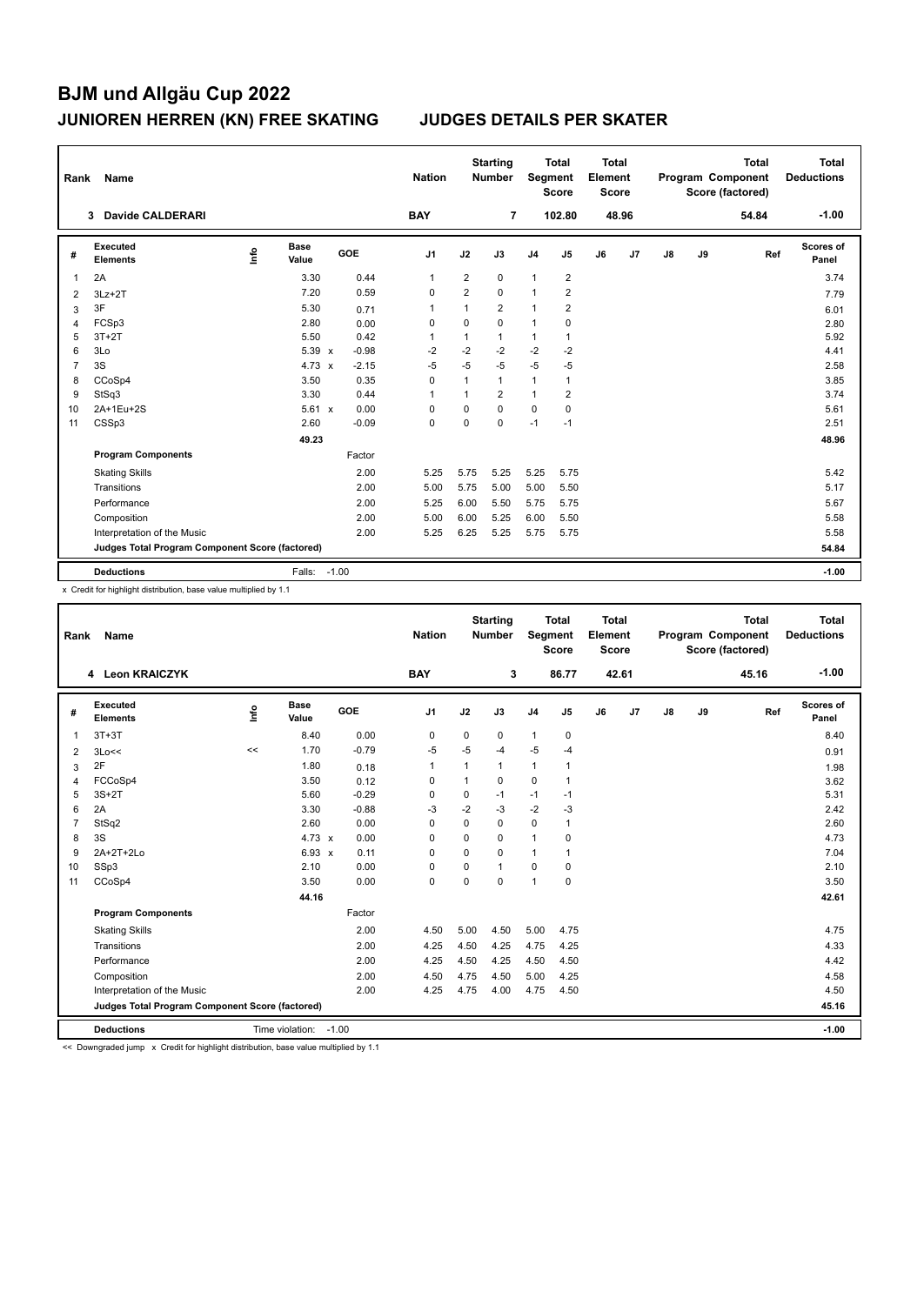| Rank | Name                                            |      |                      |         |         | <b>Nation</b>  |                | <b>Starting</b><br><b>Number</b> |                | <b>Total</b><br>Segment<br><b>Score</b> | <b>Total</b><br>Element<br><b>Score</b> |       |               |    | <b>Total</b><br>Program Component<br>Score (factored) | <b>Total</b><br><b>Deductions</b> |
|------|-------------------------------------------------|------|----------------------|---------|---------|----------------|----------------|----------------------------------|----------------|-----------------------------------------|-----------------------------------------|-------|---------------|----|-------------------------------------------------------|-----------------------------------|
|      | <b>Davide CALDERARI</b><br>3                    |      |                      |         |         | <b>BAY</b>     |                | $\overline{7}$                   |                | 102.80                                  |                                         | 48.96 |               |    | 54.84                                                 | $-1.00$                           |
| #    | Executed<br><b>Elements</b>                     | ١nfo | <b>Base</b><br>Value |         | GOE     | J <sub>1</sub> | J2             | J3                               | J <sub>4</sub> | J <sub>5</sub>                          | J6                                      | J7    | $\mathsf{J}8$ | J9 | Ref                                                   | <b>Scores of</b><br>Panel         |
| 1    | 2A                                              |      | 3.30                 |         | 0.44    | 1              | $\overline{2}$ | $\mathbf 0$                      | $\mathbf{1}$   | $\overline{2}$                          |                                         |       |               |    |                                                       | 3.74                              |
| 2    | $3Lz + 2T$                                      |      | 7.20                 |         | 0.59    | 0              | $\overline{2}$ | $\Omega$                         | 1              | $\overline{2}$                          |                                         |       |               |    |                                                       | 7.79                              |
| 3    | 3F                                              |      | 5.30                 |         | 0.71    | 1              | 1              | $\overline{2}$                   | 1              | 2                                       |                                         |       |               |    |                                                       | 6.01                              |
| 4    | FCSp3                                           |      | 2.80                 |         | 0.00    | 0              | 0              | $\mathbf 0$                      | $\mathbf{1}$   | 0                                       |                                         |       |               |    |                                                       | 2.80                              |
| 5    | $3T+2T$                                         |      | 5.50                 |         | 0.42    | 1              | 1              | $\mathbf{1}$                     | 1              | $\mathbf{1}$                            |                                         |       |               |    |                                                       | 5.92                              |
| 6    | 3Lo                                             |      | 5.39 x               |         | $-0.98$ | -2             | $-2$           | $-2$                             | $-2$           | -2                                      |                                         |       |               |    |                                                       | 4.41                              |
| 7    | 3S                                              |      | $4.73 \times$        |         | $-2.15$ | $-5$           | $-5$           | $-5$                             | $-5$           | $-5$                                    |                                         |       |               |    |                                                       | 2.58                              |
| 8    | CCoSp4                                          |      | 3.50                 |         | 0.35    | 0              | 1              | $\mathbf{1}$                     | $\mathbf{1}$   | $\overline{1}$                          |                                         |       |               |    |                                                       | 3.85                              |
| 9    | StSq3                                           |      | 3.30                 |         | 0.44    | 1              | 1              | $\overline{2}$                   | $\mathbf{1}$   | 2                                       |                                         |       |               |    |                                                       | 3.74                              |
| 10   | 2A+1Eu+2S                                       |      | $5.61 \times$        |         | 0.00    | $\Omega$       | 0              | $\Omega$                         | $\mathbf 0$    | $\mathbf 0$                             |                                         |       |               |    |                                                       | 5.61                              |
| 11   | CSSp3                                           |      | 2.60                 |         | $-0.09$ | 0              | 0              | $\mathbf 0$                      | $-1$           | $-1$                                    |                                         |       |               |    |                                                       | 2.51                              |
|      |                                                 |      | 49.23                |         |         |                |                |                                  |                |                                         |                                         |       |               |    |                                                       | 48.96                             |
|      | <b>Program Components</b>                       |      |                      |         | Factor  |                |                |                                  |                |                                         |                                         |       |               |    |                                                       |                                   |
|      | <b>Skating Skills</b>                           |      |                      |         | 2.00    | 5.25           | 5.75           | 5.25                             | 5.25           | 5.75                                    |                                         |       |               |    |                                                       | 5.42                              |
|      | Transitions                                     |      |                      |         | 2.00    | 5.00           | 5.75           | 5.00                             | 5.00           | 5.50                                    |                                         |       |               |    |                                                       | 5.17                              |
|      | Performance                                     |      |                      |         | 2.00    | 5.25           | 6.00           | 5.50                             | 5.75           | 5.75                                    |                                         |       |               |    |                                                       | 5.67                              |
|      | Composition                                     |      |                      |         | 2.00    | 5.00           | 6.00           | 5.25                             | 6.00           | 5.50                                    |                                         |       |               |    |                                                       | 5.58                              |
|      | Interpretation of the Music                     |      |                      |         | 2.00    | 5.25           | 6.25           | 5.25                             | 5.75           | 5.75                                    |                                         |       |               |    |                                                       | 5.58                              |
|      | Judges Total Program Component Score (factored) |      |                      |         |         |                |                |                                  |                |                                         |                                         |       |               |    |                                                       | 54.84                             |
|      | <b>Deductions</b>                               |      | Falls:               | $-1.00$ |         |                |                |                                  |                |                                         |                                         |       |               |    |                                                       | $-1.00$                           |

x Credit for highlight distribution, base value multiplied by 1.1

| Rank                                            | Name                        |    |                       |         | <b>Nation</b>  |          | <b>Starting</b><br><b>Number</b> | Segment        | <b>Total</b><br><b>Score</b> | <b>Total</b><br>Element<br><b>Score</b> |       | <b>Total</b><br>Program Component<br>Score (factored) |    |       | <b>Total</b><br><b>Deductions</b> |
|-------------------------------------------------|-----------------------------|----|-----------------------|---------|----------------|----------|----------------------------------|----------------|------------------------------|-----------------------------------------|-------|-------------------------------------------------------|----|-------|-----------------------------------|
|                                                 | 4 Leon KRAICZYK             |    |                       |         | <b>BAY</b>     |          | 3                                |                | 86.77                        |                                         | 42.61 |                                                       |    | 45.16 | $-1.00$                           |
| #                                               | Executed<br><b>Elements</b> | ۴ů | <b>Base</b><br>Value  | GOE     | J <sub>1</sub> | J2       | J3                               | J <sub>4</sub> | J5                           | J6                                      | J7    | $\mathsf{J}8$                                         | J9 | Ref   | <b>Scores of</b><br>Panel         |
| 1                                               | $3T+3T$                     |    | 8.40                  | 0.00    | 0              | 0        | 0                                | $\mathbf{1}$   | 0                            |                                         |       |                                                       |    |       | 8.40                              |
| 2                                               | 3Lo<<                       | << | 1.70                  | $-0.79$ | $-5$           | $-5$     | $-4$                             | $-5$           | $-4$                         |                                         |       |                                                       |    |       | 0.91                              |
| 3                                               | 2F                          |    | 1.80                  | 0.18    | 1              | 1        | $\mathbf{1}$                     | $\mathbf{1}$   | 1                            |                                         |       |                                                       |    |       | 1.98                              |
| 4                                               | FCCoSp4                     |    | 3.50                  | 0.12    | $\mathbf 0$    | 1        | 0                                | 0              | 1                            |                                         |       |                                                       |    |       | 3.62                              |
| 5                                               | $3S+2T$                     |    | 5.60                  | $-0.29$ | 0              | 0        | $-1$                             | $-1$           | $-1$                         |                                         |       |                                                       |    |       | 5.31                              |
| 6                                               | 2A                          |    | 3.30                  | $-0.88$ | $-3$           | $-2$     | $-3$                             | $-2$           | $-3$                         |                                         |       |                                                       |    |       | 2.42                              |
| 7                                               | StSq2                       |    | 2.60                  | 0.00    | $\Omega$       | $\Omega$ | $\Omega$                         | $\Omega$       | 1                            |                                         |       |                                                       |    |       | 2.60                              |
| 8                                               | 3S                          |    | 4.73 $\times$         | 0.00    | $\Omega$       | $\Omega$ | $\Omega$                         | $\mathbf{1}$   | $\mathbf 0$                  |                                         |       |                                                       |    |       | 4.73                              |
| 9                                               | 2A+2T+2Lo                   |    | 6.93 x                | 0.11    | $\Omega$       | $\Omega$ | $\Omega$                         | 1              | 1                            |                                         |       |                                                       |    |       | 7.04                              |
| 10                                              | SSp3                        |    | 2.10                  | 0.00    | 0              | $\Omega$ | 1                                | $\mathbf 0$    | 0                            |                                         |       |                                                       |    |       | 2.10                              |
| 11                                              | CCoSp4                      |    | 3.50                  | 0.00    | $\mathbf 0$    | $\Omega$ | $\Omega$                         | $\mathbf{1}$   | 0                            |                                         |       |                                                       |    |       | 3.50                              |
|                                                 |                             |    | 44.16                 |         |                |          |                                  |                |                              |                                         |       |                                                       |    |       | 42.61                             |
|                                                 | <b>Program Components</b>   |    |                       | Factor  |                |          |                                  |                |                              |                                         |       |                                                       |    |       |                                   |
|                                                 | <b>Skating Skills</b>       |    |                       | 2.00    | 4.50           | 5.00     | 4.50                             | 5.00           | 4.75                         |                                         |       |                                                       |    |       | 4.75                              |
|                                                 | Transitions                 |    |                       | 2.00    | 4.25           | 4.50     | 4.25                             | 4.75           | 4.25                         |                                         |       |                                                       |    |       | 4.33                              |
|                                                 | Performance                 |    |                       | 2.00    | 4.25           | 4.50     | 4.25                             | 4.50           | 4.50                         |                                         |       |                                                       |    |       | 4.42                              |
|                                                 | Composition                 |    |                       | 2.00    | 4.50           | 4.75     | 4.50                             | 5.00           | 4.25                         |                                         |       |                                                       |    |       | 4.58                              |
|                                                 | Interpretation of the Music |    |                       | 2.00    | 4.25           | 4.75     | 4.00                             | 4.75           | 4.50                         |                                         |       |                                                       |    |       | 4.50                              |
| Judges Total Program Component Score (factored) |                             |    |                       |         |                |          |                                  |                |                              |                                         |       | 45.16                                                 |    |       |                                   |
|                                                 | <b>Deductions</b>           |    | Time violation: -1.00 |         |                |          |                                  |                |                              |                                         |       |                                                       |    |       | $-1.00$                           |

<< Downgraded jump x Credit for highlight distribution, base value multiplied by 1.1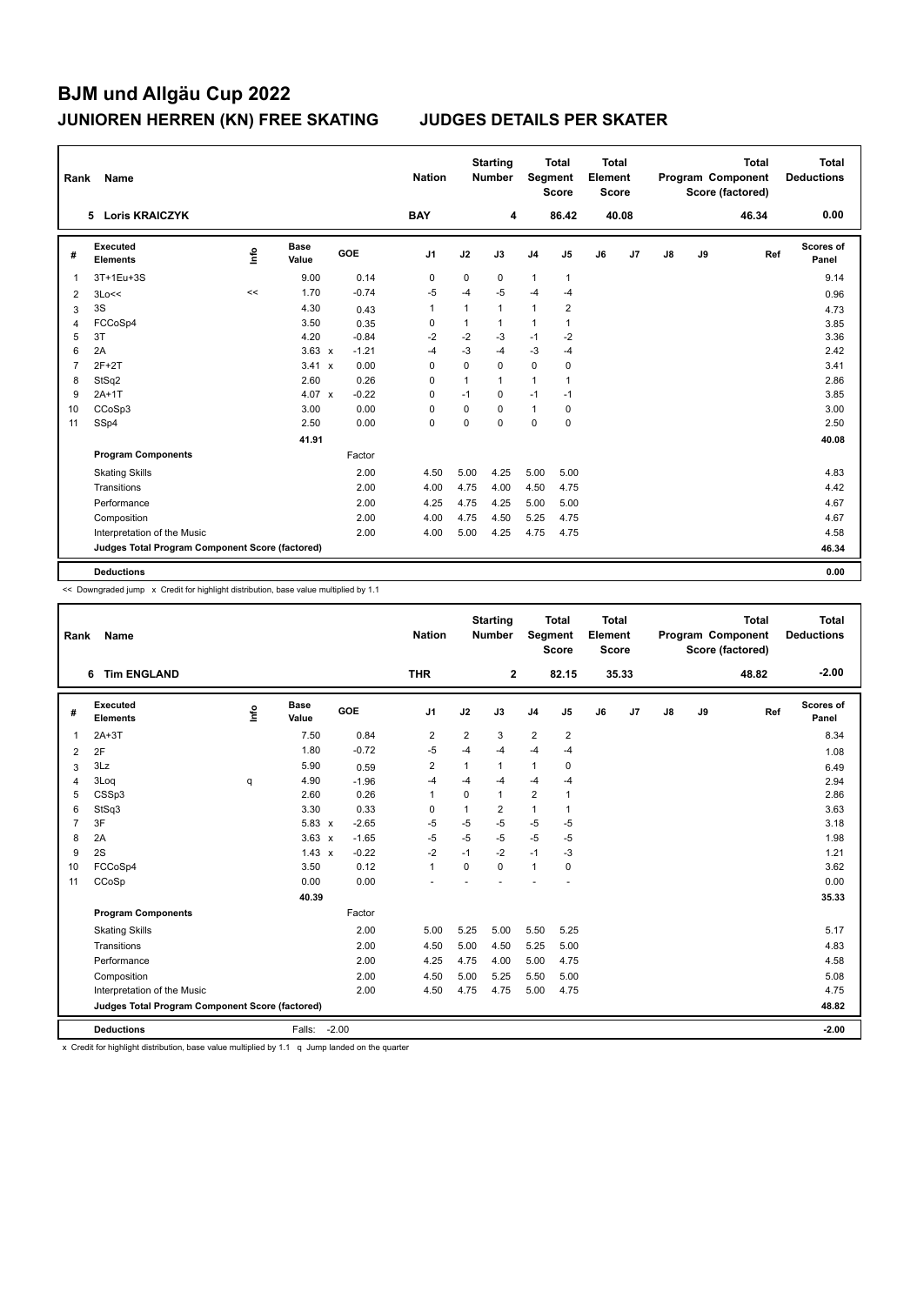| Rank           | Name                                            |    |                      |         | <b>Nation</b>  |              | <b>Starting</b><br><b>Number</b> |                | <b>Total</b><br>Segment<br><b>Score</b> | <b>Total</b><br>Element<br><b>Score</b> |       |               |    | <b>Total</b><br>Program Component<br>Score (factored) | <b>Total</b><br><b>Deductions</b> |
|----------------|-------------------------------------------------|----|----------------------|---------|----------------|--------------|----------------------------------|----------------|-----------------------------------------|-----------------------------------------|-------|---------------|----|-------------------------------------------------------|-----------------------------------|
|                | <b>Loris KRAICZYK</b><br>5.                     |    |                      |         | <b>BAY</b>     |              | 4                                |                | 86.42                                   |                                         | 40.08 |               |    | 46.34                                                 | 0.00                              |
| #              | Executed<br><b>Elements</b>                     | ۴ů | <b>Base</b><br>Value | GOE     | J <sub>1</sub> | J2           | J3                               | J <sub>4</sub> | J5                                      | J6                                      | J7    | $\mathsf{J}8$ | J9 | Ref                                                   | Scores of<br>Panel                |
| -1             | 3T+1Eu+3S                                       |    | 9.00                 | 0.14    | 0              | 0            | 0                                | $\mathbf{1}$   | $\mathbf{1}$                            |                                         |       |               |    |                                                       | 9.14                              |
| $\overline{2}$ | 3Lo<<                                           | << | 1.70                 | $-0.74$ | $-5$           | $-4$         | $-5$                             | $-4$           | $-4$                                    |                                         |       |               |    |                                                       | 0.96                              |
| 3              | 3S                                              |    | 4.30                 | 0.43    | 1              | $\mathbf{1}$ | $\mathbf{1}$                     | $\mathbf{1}$   | $\overline{2}$                          |                                         |       |               |    |                                                       | 4.73                              |
| 4              | FCCoSp4                                         |    | 3.50                 | 0.35    | 0              | 1            | $\mathbf{1}$                     | $\overline{1}$ | 1                                       |                                         |       |               |    |                                                       | 3.85                              |
| 5              | 3T                                              |    | 4.20                 | $-0.84$ | $-2$           | $-2$         | $-3$                             | $-1$           | $-2$                                    |                                         |       |               |    |                                                       | 3.36                              |
| 6              | 2A                                              |    | $3.63 \times$        | $-1.21$ | $-4$           | $-3$         | $-4$                             | $-3$           | $-4$                                    |                                         |       |               |    |                                                       | 2.42                              |
| 7              | $2F+2T$                                         |    | 3.41 x               | 0.00    | 0              | 0            | $\mathbf 0$                      | $\mathbf 0$    | 0                                       |                                         |       |               |    |                                                       | 3.41                              |
| 8              | StSq2                                           |    | 2.60                 | 0.26    | $\Omega$       | $\mathbf{1}$ | $\mathbf{1}$                     | $\mathbf{1}$   | 1                                       |                                         |       |               |    |                                                       | 2.86                              |
| 9              | $2A+1T$                                         |    | 4.07 $\times$        | $-0.22$ | 0              | $-1$         | 0                                | $-1$           | $-1$                                    |                                         |       |               |    |                                                       | 3.85                              |
| 10             | CCoSp3                                          |    | 3.00                 | 0.00    | $\Omega$       | $\mathbf 0$  | $\Omega$                         | $\mathbf{1}$   | 0                                       |                                         |       |               |    |                                                       | 3.00                              |
| 11             | SSp4                                            |    | 2.50                 | 0.00    | 0              | 0            | $\mathbf 0$                      | $\mathbf 0$    | $\mathbf 0$                             |                                         |       |               |    |                                                       | 2.50                              |
|                |                                                 |    | 41.91                |         |                |              |                                  |                |                                         |                                         |       |               |    |                                                       | 40.08                             |
|                | <b>Program Components</b>                       |    |                      | Factor  |                |              |                                  |                |                                         |                                         |       |               |    |                                                       |                                   |
|                | <b>Skating Skills</b>                           |    |                      | 2.00    | 4.50           | 5.00         | 4.25                             | 5.00           | 5.00                                    |                                         |       |               |    |                                                       | 4.83                              |
|                | Transitions                                     |    |                      | 2.00    | 4.00           | 4.75         | 4.00                             | 4.50           | 4.75                                    |                                         |       |               |    |                                                       | 4.42                              |
|                | Performance                                     |    |                      | 2.00    | 4.25           | 4.75         | 4.25                             | 5.00           | 5.00                                    |                                         |       |               |    |                                                       | 4.67                              |
|                | Composition                                     |    |                      | 2.00    | 4.00           | 4.75         | 4.50                             | 5.25           | 4.75                                    |                                         |       |               |    |                                                       | 4.67                              |
|                | Interpretation of the Music                     |    |                      | 2.00    | 4.00           | 5.00         | 4.25                             | 4.75           | 4.75                                    |                                         |       |               |    |                                                       | 4.58                              |
|                | Judges Total Program Component Score (factored) |    |                      |         |                |              |                                  |                |                                         |                                         |       |               |    |                                                       | 46.34                             |
|                | <b>Deductions</b>                               |    |                      |         |                |              |                                  |                |                                         |                                         |       |               |    |                                                       | 0.00                              |

<< Downgraded jump x Credit for highlight distribution, base value multiplied by 1.1

| Name<br>Rank   |                                                 |   |                      |         | <b>Nation</b>  |                | <b>Starting</b><br><b>Number</b> | <b>Total</b><br>Segment<br><b>Score</b> |                         | Total<br>Element<br><b>Score</b> |                |               |    | <b>Total</b><br>Program Component<br>Score (factored) | Total<br><b>Deductions</b> |
|----------------|-------------------------------------------------|---|----------------------|---------|----------------|----------------|----------------------------------|-----------------------------------------|-------------------------|----------------------------------|----------------|---------------|----|-------------------------------------------------------|----------------------------|
|                | 6 Tim ENGLAND                                   |   |                      |         | <b>THR</b>     |                | $\mathbf{2}$                     |                                         | 82.15                   |                                  | 35.33          |               |    | 48.82                                                 | $-2.00$                    |
| #              | Executed<br><b>Elements</b>                     | ۴ | <b>Base</b><br>Value | GOE     | J <sub>1</sub> | J2             | J3                               | J <sub>4</sub>                          | J <sub>5</sub>          | J6                               | J <sub>7</sub> | $\mathsf{J}8$ | J9 | Ref                                                   | Scores of<br>Panel         |
| $\overline{1}$ | $2A+3T$                                         |   | 7.50                 | 0.84    | 2              | $\overline{2}$ | 3                                | $\overline{2}$                          | $\overline{\mathbf{c}}$ |                                  |                |               |    |                                                       | 8.34                       |
| 2              | 2F                                              |   | 1.80                 | $-0.72$ | $-5$           | $-4$           | $-4$                             | $-4$                                    | $-4$                    |                                  |                |               |    |                                                       | 1.08                       |
| 3              | 3Lz                                             |   | 5.90                 | 0.59    | $\overline{2}$ | 1              | 1                                | $\mathbf{1}$                            | 0                       |                                  |                |               |    |                                                       | 6.49                       |
| 4              | 3Loq                                            | q | 4.90                 | $-1.96$ | $-4$           | $-4$           | $-4$                             | $-4$                                    | $-4$                    |                                  |                |               |    |                                                       | 2.94                       |
| 5              | CSSp3                                           |   | 2.60                 | 0.26    | $\mathbf{1}$   | $\Omega$       | $\mathbf{1}$                     | $\overline{2}$                          | $\mathbf{1}$            |                                  |                |               |    |                                                       | 2.86                       |
| 6              | StSq3                                           |   | 3.30                 | 0.33    | 0              | $\mathbf{1}$   | $\overline{2}$                   | $\mathbf{1}$                            | $\mathbf{1}$            |                                  |                |               |    |                                                       | 3.63                       |
| $\overline{7}$ | 3F                                              |   | 5.83 x               | $-2.65$ | $-5$           | $-5$           | $-5$                             | $-5$                                    | $-5$                    |                                  |                |               |    |                                                       | 3.18                       |
| 8              | 2A                                              |   | $3.63 \times$        | $-1.65$ | $-5$           | $-5$           | $-5$                             | $-5$                                    | $-5$                    |                                  |                |               |    |                                                       | 1.98                       |
| 9              | 2S                                              |   | $1.43 \times$        | $-0.22$ | $-2$           | $-1$           | $-2$                             | $-1$                                    | $-3$                    |                                  |                |               |    |                                                       | 1.21                       |
| 10             | FCCoSp4                                         |   | 3.50                 | 0.12    | $\mathbf{1}$   | $\Omega$       | $\Omega$                         | $\mathbf{1}$                            | 0                       |                                  |                |               |    |                                                       | 3.62                       |
| 11             | CCoSp                                           |   | 0.00                 | 0.00    |                |                |                                  |                                         |                         |                                  |                |               |    |                                                       | 0.00                       |
|                |                                                 |   | 40.39                |         |                |                |                                  |                                         |                         |                                  |                |               |    |                                                       | 35.33                      |
|                | <b>Program Components</b>                       |   |                      | Factor  |                |                |                                  |                                         |                         |                                  |                |               |    |                                                       |                            |
|                | <b>Skating Skills</b>                           |   |                      | 2.00    | 5.00           | 5.25           | 5.00                             | 5.50                                    | 5.25                    |                                  |                |               |    |                                                       | 5.17                       |
|                | Transitions                                     |   |                      | 2.00    | 4.50           | 5.00           | 4.50                             | 5.25                                    | 5.00                    |                                  |                |               |    |                                                       | 4.83                       |
|                | Performance                                     |   |                      | 2.00    | 4.25           | 4.75           | 4.00                             | 5.00                                    | 4.75                    |                                  |                |               |    |                                                       | 4.58                       |
|                | Composition                                     |   |                      | 2.00    | 4.50           | 5.00           | 5.25                             | 5.50                                    | 5.00                    |                                  |                |               |    |                                                       | 5.08                       |
|                | Interpretation of the Music                     |   |                      | 2.00    | 4.50           | 4.75           | 4.75                             | 5.00                                    | 4.75                    |                                  |                |               |    |                                                       | 4.75                       |
|                | Judges Total Program Component Score (factored) |   |                      |         |                |                |                                  |                                         |                         |                                  |                |               |    |                                                       | 48.82                      |
|                | <b>Deductions</b>                               |   | Falls: -2.00         |         |                |                |                                  |                                         |                         |                                  |                |               |    |                                                       | $-2.00$                    |

x Credit for highlight distribution, base value multiplied by 1.1 q Jump landed on the quarter